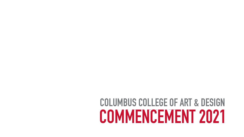# **COLUMBUS COLLEGE OF ART & DESIGN COLUMBUS COLLEGE OF ART & DESIGNCOMMENCEMENT 2021**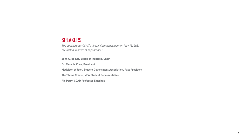### **SPEAKERS**

*The speakers for CCAD's virtual Commencement on May 15, 2021 are (listed in order of appearance):* 

**John C. Beeler, Board of Trustees, Chair Dr. Melanie Corn, President Maddison Wilson, Student Government Association, Past President The'Shima Craver, MFA Student Representative Ric Petry, CCAD Professor Emeritus**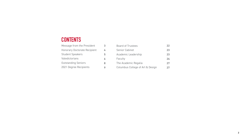## **CONTENTS**

| Message from the President          | 3 |  |
|-------------------------------------|---|--|
| <b>Honorary Doctorate Recipient</b> | 4 |  |
| <b>Student Speakers</b>             | 5 |  |
| Valedictorians                      |   |  |
| <b>Outstanding Seniors</b>          | 8 |  |
| 2021 Degree Recipients              |   |  |

|  |  |  | <b>Board of Trustees</b> |
|--|--|--|--------------------------|
|--|--|--|--------------------------|

- Senior Cabinet
- Academic Leadership
- Faculty
- The Academic Regalia
- Columbus College of Art & Design
- **22 23 23 24**
- **27 27**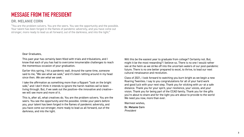## **MESSAGE FROM THE PRESIDENT**

### DR. MELANIE CORN

"You are the problem solvers. You are the seers. You see the opportunity and the possible. Your talent has been forged in the flames of pandemic adversity, and you have come out stronger, more ready to lead us all forward, out of the darkness, and into the light."

Dear Graduates,

This past year has certainly been filled with trials and tribulations, and I know that each of you has had to overcome innumerable challenges to reach the momentous occasion of your graduation.

Earlier this spring, I hit a pandemic wall. Around the same time, someone said to me, "We see what we seek," and it's been rattling around in my head since then. *We see what we seek.*

Class of 2021, I look forward to watching you burn bright as we begin a new Roaring Twenties. I say to you congratulations for all of your hard work and good luck with your next step. Thank you for sticking with us—at a safe distance. Thank you for your spirit, your resilience, your voices, and your vision. Thank you for being part of the CCAD family. Thank you for the gifts you're about to share and for the light you are about to provide to the world We need you now, more than ever.

I take the affirmation as something more than a flippant "look on the bright side," and I don't think it intends to ignore the harsh realities we've been living through. But, if we seek out the positive—the innovative and creative we will see more and more of it.

This is, after all, what creatives do. You are the problem solvers. You are the seers. You see the opportunity and the possible. Unlike your peers before you, your talent has been forged in the flames of pandemic adversity, and you have come out stronger, more ready to lead us all forward, out of the darkness, and into the light.

Will this be the easiest year to graduate from college? Certainly not. But, might it be the most rewarding? I believe so. There is no one I would rather see at the helm as we strike off into the uncertain waters of our post-pandemic future. There is no one better prepared to excel, to thrive, to lead our next cultural renaissance and revolution.

Warmest wishes,

Dr. Melanie Corn *President*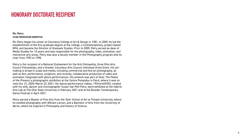## **HONORARY DOCTORATE RECIPIENT**

### Ric Petry **CCAD PROFESSOR EMERITUS**

Ric Petry began his career at Columbus College of Art & Design in 1981. In 2009, he led the establishment of the first graduate degree at the college, a multidisciplinary, project-based MFA, and became the Director of Graduate Studies. Prior to 2009, Petry served as dean of Media Studies for 10 years and was responsible for the photography, video, animation, and interactive arts areas. Petry was also a faculty member in the Photography program and its chair from 1992 to 1998.

Petry is the recipient of a National Endowment for the Arts Fellowship, three Ohio Arts Council Fellowships, and a Greater Columbus Arts Council Individual Artist Grant. His artmaking is broad in scope and media, including commercial and fine art photography, as well as film, performance, sculpture, and recently, collaborative production of video and animation integrated with dance performances. His artwork was part of *Dust: The Plates of the Present*, a photographic exhibition at the Centre Pompidou in Paris, where it was on view Oct. 21, 2020–March 22, 2021. His dance/performance videos, *19ChoreOVIDS*, created with his wife, dancer and choreographer Susan Van Pelt Petry, were exhibited at the Hybrid Arts Lab at The Ohio State University in February 2021 and at the Boulder Contemporary Dance Festival in April 2021.

Petry earned a Master of Fine Arts from the Tyler School of Art at Temple University, where he studied photography with William Larson, and a Bachelor of Arts from the University of Akron, where he majored in Philosophy and History of Science.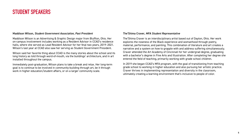### **STUDENT SPEAKERS**

### Maddison Wilson, *Student Government Association, Past President*

Maddison Wilson is an Advertising & Graphic Design major from Bluffton, Ohio. Her on-campus involvement includes working as a Resident Advisor in CCAD's residence halls, where she served as Lead Resident Advisor for her final two years, 2019–2021. Wilson's last year at CCAD also saw her serving as Student Government President.

Wilson said her favorite thing about CCAD is the many stories about the school and its long history as told through word-of-mouth, via the buildings' architecture, and in art installed throughout the campus.

Immediately post-graduation, Wilson plans to take a break and relax. Her long-term goal is to continue to be involved in community-building through art, be it through work in higher education/student affairs, or on a larger community scale.

### The'Shima Craver, *MFA Student Representative*

The'Shima Craver is an interdisciplinary artist based out of Dayton, Ohio. Her work explores the nowness of the Black experience and womanhood through poetry, material, performance, and painting. This combination of literature and art creates a narrative and a system on how to grapple with and address suffering simultaneously. Craver attended the Art Academy of Cincinnati for her undergrad degree, graduating with a bachelor's degree in Fine Arts and Illustration. After completing her degree she entered the field of teaching, primarily working with grade school children.

In 2019 she began CCAD's MFA program, with the goal of transitioning from teaching grade school to working in higher education and also pursuing her artistic practice. Craver thrives in implementing representation and diversity in the classroom, ultimately creating a learning environment that's inclusive to people of color.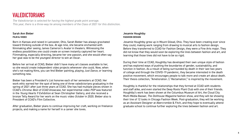## **VALEDICTORIANS**

*The Valedictorian is selected for having the highest grade point average. This year, there is a three-way tie among members of the Class of 2021 for this distinction.*

### Sarah Ann Bieber **FILM & VIDEO**

Born in Kansas and raised in Lancaster, Ohio, Sarah Bieber has always gravitated toward thinking outside of the box. At age nine, she became enchanted with filmmaking after seeing James Cameron's *Avatar* in theaters. Witnessing the endless possibilities one could create on screen instantly captured her heart. Filmmaking, especially directing, became her one passion, and she would often say her goal was to be the youngest director to win an Oscar.

Before her arrival at CCAD, Bieber didn't have many art classes available to her, so she would create independent video projects whenever she could. Now, when she's not making films, you can find Bieber painting, playing *Just Dance*, or learning something new.

Bieber has been a President's List honoree each of her semesters at CCAD. Her work ethic earned her the spot of being one of three valedictorians graduating in the spring of 2021 after just three years at CCAD. She has had multiple pieces shown in CCAD's *Chroma: Best of CCAD* showcase, her experimental video *POP* was featured in the *Young Hearts 9 Exhibition* at Sean Christopher Gallery, and she received a bronze Telly Award for her work on the music video *October* in 2020. Bieber also is President of CCAD's Film Collective.

After graduation, Bieber plans to continue improving her craft, working on freelance projects, and making a name for herself in a career she loves.

### Jesamie Houghtby **FASHION DESIGN**

Jesamie Houghtby grew up in Mount Gilead, Ohio. They have been creating ever since they could, making work ranging from drawing to musical arts to fashion design. Before they transferred to CCAD for Fashion Design, they were a Fine Arts major. They did not know that they would soon be exploring the lines between fashion and art, and learning that those lines did not have to be so rigid.

During their time at CCAD, Houghtby has developed their own unique style of fashion and has explored ways of pushing the boundaries of gender, sustainability, and function in fashion. As a result of being surrounded by death in their last two years of college and through the COVID-19 pandemic, they became interested in the death positive movement, which encourages people to talk more and create art about death. Their thesis collection, "Amelioration // Reclamation," is inspired by the movement.

Houghtby is thankful for the relationships that they formed at CCAD with students and staff alike, and even started the Deep Roots Plant Club with one of their friends. Houghtby's work has been shown at the Columbus Museum of Art, the Cloud City Multi-Media Bazaar, *The Dollhouse Magazine* fashion show, and they will be showing their line of 12 looks in Chicago Fashion Week. Post-graduation, they will be working as an Assistant Designer at Abercrombie & Fitch, and they hope to eventually attend graduate school to continue further exploring the lines between fashion and art.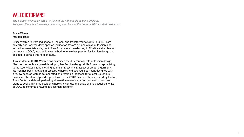## **VALEDICTORIANS**

*The Valedictorian is selected for having the highest grade point average. This year, there is a three-way tie among members of the Class of 2021 for that distinction.*

### Grace Warren **FASHION DESIGN**

Grace Warren is from Indianapolis, Indiana, and transferred to CCAD in 2018. From an early age, Warren developed an inclination toward art and a love of fashion, and earned an associate's degree in Fine Arts before transferring to CCAD. As she planned her move to CCAD, Warren knew she had to follow her passion for fashion design and decided to pursue this field of study.

As a student at CCAD, Warren has examined the different aspects of fashion design. She has thoroughly enjoyed developing her fashion design skills from conceptualizing; to intricately illustrating clothing; to the final, technical aspect of creating garments. Warren has been involved in *Chroma*, where she displayed a garment designed with a fellow peer, as well as collaborated on creating a lookbook for a local Columbus business. She also helped design a look for the CCAD Fashion Show inspired by Easton Town Center and developed using alternative materials. After graduation, Warren plans to seek a full-time position where she can use the skills she has acquired while at CCAD to continue growing as a fashion designer.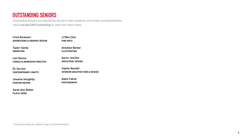### **OUTSTANDING SENIORS**

*Outstanding Seniors are selected by faculty or their academic and artistic accomplishments. Visit [ccad.edu/2021outstanding](http://ccad.edu/2021outstanding ) to read more about them.*

Fredi Bockover*°* **ADVERTISING & GRAPHIC DESIGN**

Taylor Gandy **ANIMATION**

Lexi Ramos **COMICS & NARRATIVE PRACTICE**

Eli Secrest **CONTEMPORARY CRAFTS**

Jesamie Houghtby **FASHION DESIGN**

Sarah Ann Bieber **FILM & VIDEO**

*° Also performing an original song at Commencement.*

Ji Woo Choi

**FINE ARTS**

Annalise Barber **ILLUSTRATION** 

Aaron Jeschke **INDUSTRIAL DESIGN**

Sophie Randall **INTERIOR ARCHITECTURE & DESIGN**

Adam Fakult **PHOTOGRAPHY**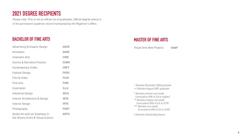## **2021 DEGREE RECIPIENTS**

*Please note: This is not an official list of graduates. Official degree status is in the permanent academic record maintained by the Registrar's Office.*

### **BACHELOR OF FINE ARTS**

### **MASTER OF FINE ARTS**

| <b>Advertising &amp; Graphic Design</b>                               | <b>ADVE</b> |
|-----------------------------------------------------------------------|-------------|
| Animation                                                             | <b>ANIM</b> |
| <b>Cinematic Arts</b>                                                 | <b>CINE</b> |
| <b>Comics &amp; Narrative Practice</b>                                | <b>COMC</b> |
| <b>Contemporary Crafts</b>                                            | <b>CRFT</b> |
| <b>Fashion Design</b>                                                 | <b>FASH</b> |
| Film & Video                                                          | <b>FILM</b> |
| <b>Fine Arts</b>                                                      | <b>FINE</b> |
| Illustration                                                          | <b>ILLU</b> |
| <b>Industrial Design</b>                                              | <b>IDUS</b> |
| Interior Architecture & Design                                        | <b>INTE</b> |
| <b>Interior Design</b>                                                | <b>INTE</b> |
| Photography                                                           | <b>PHOT</b> |
| Studio Art with an Emphasis in<br>the History of Art & Visual Culture | <b>ARTH</b> |

*+ Denotes December 2020 graduate*

- *++ Denotes August 2021 graduate*
- *\* Denotes summa cum laude (cumulative GPA of 3.8 or higher) \*\* Denotes magna cum laude (cumulative GPA of 3.6 to 3.79) \*\*\* Denotes cum laude* 
	- *(cumulative GPA of 3.4 to 3.59)*

Visual Arts New Projects VANP

*◊ Denotes Outstanding Senior*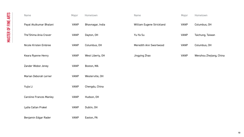| Name                           | Major       | Hometown         | <b>Name</b>               | Major       | Hometown                |
|--------------------------------|-------------|------------------|---------------------------|-------------|-------------------------|
| Payal Atulkumar Bhalani        | <b>VANP</b> | Bhavnagar, India | William Eugene Strickland | <b>VANP</b> | Columbus, OH            |
| The'Shima Ania Craver          | <b>VANP</b> | Dayton, OH       | Yu-Ya Su                  | <b>VANP</b> | Taichung, Taiwan        |
| Nicole Kristen Embree          | <b>VANP</b> | Columbus, OH     | Meredith Ann Swortwood    | <b>VANP</b> | Columbus, OH            |
| Keara Ryanne Henry             | <b>VANP</b> | West Liberty, OH | Jingying Zhao             | <b>VANP</b> | Wenzhou Zhejiang, China |
| Zander Wobst Jeney             | <b>VANP</b> | Boston, MA       |                           |             |                         |
| Marian Deborah Lerner          | <b>VANP</b> | Westerville, OH  |                           |             |                         |
| Yujia Li                       | <b>VANP</b> | Chengdu, China   |                           |             |                         |
| <b>Caroline Frances Manley</b> | <b>VANP</b> | Hudson, OH       |                           |             |                         |
| Lydia Callan Prakel            | <b>VANP</b> | Dublin, OH       |                           |             |                         |
| Benjamin Edgar Rader           | <b>VANP</b> | Easton, PA       |                           |             |                         |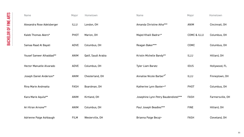| Name                            | Major       | Hometown            | Name                                 | Major                  | Hometown         |
|---------------------------------|-------------|---------------------|--------------------------------------|------------------------|------------------|
| Alexandra Rose Adelsberger      | ILLU        | London, OH          | Amanda Christine Atha***             | <b>ANIM</b>            | Cincinnati, OH   |
| Kaleb Thomas Akers*             | <b>PHOT</b> | Marion, OH          | Majed Khalil Badra+*                 | <b>COMC &amp; ILLU</b> | Columbus, OH     |
| Samaa Raad Al Bayati            | ADVE        | Columbus, OH        | Reagan Baker***                      | <b>COMC</b>            | Columbus, OH     |
| Yousef Sameer Alhaddad**        | <b>ANIM</b> | Qatif, Saudi Arabia | Kristin Michelle Bandy**             | <b>ILLU</b>            | Hilliard, OH     |
| <b>Hector Manuelle Alvarado</b> | ADVE        | Columbus, OH        | <b>Tyler Liam Baratz</b>             | <b>IDUS</b>            | Hollywood, FL    |
| Joseph Daniel Anderson*         | <b>ANIM</b> | Chesterland, OH     | Annalise Nicole Barber <sup>®*</sup> | <b>ILLU</b>            | Finneytown, OH   |
| Rina Marie Andreatta            | <b>FASH</b> | Boardman, OH        | Katherine Lynn Baxter+*              | <b>PHOT</b>            | Columbus, OH     |
| Kara Marie Aquila**             | ANIM        | Kirtland, OH        | Josephine Lynn Petry Baudendistel*** | <b>FASH</b>            | Farmersville, OH |
| Ari Kiran Arnone**              | <b>ANIM</b> | Columbus, OH        | Paul Joseph Beadles***               | <b>FINE</b>            | Hilliard, OH     |
| Adrienne Paige Ashbaugh         | <b>FILM</b> | Westerville, OH     | Brianna Paige Becaj+                 | <b>FASH</b>            | Cleveland, OH    |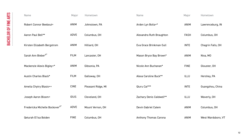| Name                                       | Major       | Hometown           | <b>Name</b>                  | Major       | Hometown           |
|--------------------------------------------|-------------|--------------------|------------------------------|-------------|--------------------|
| <b>Robert Connor Beebout+</b>              | <b>ANIM</b> | Johnstown, PA      | Arden Lyn Bolia+*            | <b>ANIM</b> | Lawrenceburg, IN   |
| Aaron Paul Bell**                          | ADVE        | Columbus, OH       | Alexandra Ruth Braughton     | <b>FASH</b> | Columbus, OH       |
| Kirsten Elizabeth Bergstrom                | <b>ANIM</b> | Hilliard, OH       | Eva Grace Brinkman-Sull      | <b>INTE</b> | Chagrin Falls, OH  |
| Sarah Ann Bieber <sup>®*</sup>             | <b>FILM</b> | Lancaster, OH      | Mason Bryce Bay Brown*       | <b>ANIM</b> | Nixa, MO           |
| Mackenzie Alexis Bigley+*                  | <b>ANIM</b> | Gibsonia, PA       | Nicole Ann Buchanan*         | <b>FINE</b> | Glouster, OH       |
| <b>Austin Charles Black*</b>               | <b>FILM</b> | Galloway, OH       | Alexa Caroline Buck**        | <b>ILLU</b> | Hershey, PA        |
| Amelia Chytry Blasio++                     | <b>CINE</b> | Pleasant Ridge, MI | Qiuru Cai***                 | <b>INTE</b> | Guangzhou, China   |
| Joseph Aaron Bloom+                        | <b>IDUS</b> | Cleveland, OH      | Zachary Denis Caldwell**     | <b>ILLU</b> | Waverly, OH        |
| Fredericka Michelle Bockover <sup>®*</sup> | ADVE        | Mount Vernon, OH   | Devin Gabriel Calem          | <b>ANIM</b> | Columbus, OH       |
| <b>Qeturah El'isa Bolden</b>               | <b>FINE</b> | Columbus, OH       | <b>Anthony Thomas Carona</b> | <b>ANIM</b> | West Wardsboro, VT |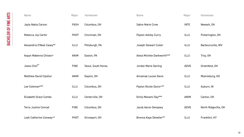| <b>Name</b>                  | Major       | Hometown           | <b>Name</b>                | Major       | Hometown             |
|------------------------------|-------------|--------------------|----------------------------|-------------|----------------------|
| Jayla Nakia Carson           | <b>FASH</b> | Columbus, OH       | <b>Sabre Marie Crow</b>    | <b>INTE</b> | Newark, OH           |
| Rebecca Joy Carter           | <b>PHOT</b> | Cincinnati, OH     | <b>Payton Ashley Curry</b> | <b>ILLU</b> | Pickerington, OH     |
| Alexandria O'Neal Casey**    | ILLU        | Pittsburgh, PA     | Joseph Stewart Cutler      | <b>ILLU</b> | Barboursville, WV    |
| Aspyn Makenna Chisesi+       | <b>ANIM</b> | Easton, PA         | Alexa Michele Dankworth*** | <b>ILLU</b> | Troy, OH             |
| Jiwoo Choi <sup>o*</sup>     | <b>FINE</b> | Seoul, South Korea | Jordan Marie Darling       | <b>ADVE</b> | Greenfield, OH       |
| Matthew David Cipolla+       | <b>ANIM</b> | Dayton, OH         | Annamae Louise Davis       | <b>ILLU</b> | Miamisburg, OH       |
| Lee Coleman***               | ILLU        | Columbus, OH       | Payton Nicole Davis+**     | <b>ILLU</b> | Auburn, IN           |
| <b>Elizabeth Grace Combs</b> | <b>ILLU</b> | Centerville, OH    | Emily Manami Day***        | <b>ANIM</b> | Canton, OH           |
| <b>Terra Justine Conrad</b>  | <b>FINE</b> | Columbus, OH       | <b>Jacob Aaron Dempsey</b> | <b>ADVE</b> | North Ridgeville, OH |
| Leah Catherine Conway+*      | <b>PHOT</b> | Groveport, OH      | Brenna Kaye Detwiler**     | <b>ILLU</b> | Frankfort, KY        |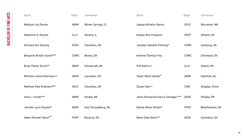| Name                               | Major       | Hometown             | <b>Name</b>                        | Major       | Hometown          |
|------------------------------------|-------------|----------------------|------------------------------------|-------------|-------------------|
| <b>Madison Lily Devine</b>         | <b>ANIM</b> | Winter Springs, FL   | Lakaya Nichelle Fearon             | <b>IDUS</b> | Worcester, MA     |
| Katherine D. Discher               | ILLU        | Geneva, IL           | Kaitlyn Brei Ferguson              | <b>PHOT</b> | Hilliard, OH      |
| Ammala Son Doeung                  | <b>FASH</b> | Columbus, OH         | Jackalyn Danielle Fleming*         | <b>COMC</b> | Leesburg, VA      |
| Benjamin Britton Durell***         | <b>COMC</b> | Bexley, OH           | <b>Andrew Thomas Frey</b>          | <b>COMC</b> | Cleveland, OH     |
| Brian Parker Durnil**              | <b>ANIM</b> | Schoolcraft, MI      | Fliff Gahris++                     | <b>ILLU</b> | Oxford, OH        |
| Michelle Ivanna Ellerman+*         | <b>ANIM</b> | Lancaster, OH        | Taylor Marie Gandy <sup>®*</sup>   | <b>ANIM</b> | Hamilton, NJ      |
| Matthew Kyle Erdmann***            | <b>IDUS</b> | Columbus, OH         | Ziyuan Gao++                       | <b>CINE</b> | Qingdao, China    |
| Anna J. Ernatt***                  | <b>ANIM</b> | Omaha, NE            | Jesús Emmanuel Garcia Santiago+*** | ADVE        | Villalba, PR      |
| Jennifer Lynn Facyson*             | <b>ANIM</b> | East Stroudsburg, PA | Karlee Alexis Gilliam*             | <b>PHOT</b> | Bellefontaine, OH |
| Adam Michael Fakult <sup>o**</sup> | PHOT        | Bucyrus, OH          | Nolan Gale Gleich**                | ADVE        | Columbus, OH      |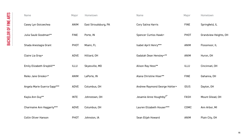| Name                        | Major       | Hometown             | Name                                | Major       | Hometown                     |
|-----------------------------|-------------|----------------------|-------------------------------------|-------------|------------------------------|
| Casey Lyn Goicoechea        | <b>ANIM</b> | East Stroudsburg, PA | <b>Cory Salina Harris</b>           | <b>FINE</b> | Springfield, IL              |
| Julia Saulė Goodman**       | <b>FINE</b> | Porte, IN            | <b>Spencer Curtiss Hawk+</b>        | <b>PHOT</b> | <b>Grandview Heights, OH</b> |
| Shada Anestagia Grant       | <b>PHOT</b> | Miami, FL            | Isabel April Henry***               | <b>ANIM</b> | Flossmoor, IL                |
| Claire Lia Gray+            | <b>ADVE</b> | Hilliard, OH         | Gadalah Dean Hensley+**             | <b>ANIM</b> | Huron, OH                    |
| Emily Elizabeth Graybill**  | <b>ILLU</b> | Skyesville, MD       | Alison Ray Hess**                   | ILLU        | Cincinnati, OH               |
| Reiko Jane Gresko+*         | <b>ANIM</b> | LaPorte, IN          | Alana Christine Hiser**             | <b>FINE</b> | Gahanna, OH                  |
| Angela Marie Guerra-Sapp*** | <b>ADVE</b> | Columbus, OH         | Andrew Raymond George Hohler+       | <b>IDUS</b> | Dayton, OH                   |
| Kayla Ann Guy**             | <b>INTE</b> | Johnstown, OH        | Jesamie Anne Houghtby <sup>®*</sup> | <b>FASH</b> | Mount Gilead, OH             |
| Charmaine Ann Haggerty***   | <b>ADVE</b> | Columbus, OH         | Lauren Elizabeth Houser***          | <b>COMC</b> | Ann Arbor, MI                |
| <b>Collin Oliver Hanson</b> | <b>PHOT</b> | Johnston, IA         | Sean Elijah Howard                  | <b>ANIM</b> | Plain City, OH               |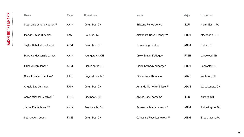| Name                                | Major       | Hometown         | Name                        | Major       | Hometown         |
|-------------------------------------|-------------|------------------|-----------------------------|-------------|------------------|
| Stephanie Lenora Hughes**           | <b>ANIM</b> | Columbus, OH     | <b>Brittany Renee Jones</b> | <b>ILLU</b> | North East, PA   |
| Marvin Javon Hutchins               | <b>FASH</b> | Houston, TX      | Alexandra Rose Keeney***    | <b>PHOT</b> | Macedonia, OH    |
| Taylor Rebekah Jackson+             | <b>ADVE</b> | Columbus, OH     | Emma Leigh Keller           | <b>ANIM</b> | Dublin, OH       |
| Makayla Mackenzie James             | <b>ANIM</b> | Youngstown, OH   | Drew Evelyn Kellogg+        | <b>FASH</b> | Lakewood, NY     |
| Lilian Aileen Janes*                | <b>ADVE</b> | Pickerington, OH | Claire Kathryn Kilbarger    | <b>PHOT</b> | Lancaster, OH    |
| Clara Elizabeth Jenkins*            | <b>ILLU</b> | Hagerstown, MD   | Skylar Zane Kinnison        | <b>ADVE</b> | Wellston, OH     |
| Angela Lee Jernigan                 | <b>FASH</b> | Columbus, OH     | Amanda Marie Kohlrieser**   | <b>ADVE</b> | Wapakoneta, OH   |
| Aaron Michael Jeschke <sup>®*</sup> | <b>IDUS</b> | Cincinnati, OH   | Alyssa Jane Korecky*        | <b>ILLU</b> | Aurora, OH       |
| Jenna Rielle Jewell**               | <b>ANIM</b> | Proctorville, OH | Samantha Marie Lassahn*     | <b>ANIM</b> | Pickerington, OH |
| Sydney Ann Jodon                    | <b>FINE</b> | Columbus, OH     | Catherine Rose Lastowka***  | <b>ANIM</b> | Brookhaven, PA   |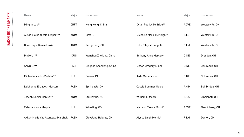| <b>Name</b>                             | Major       | Hometown                     | <b>Name</b>                | Major       | Hometown        |
|-----------------------------------------|-------------|------------------------------|----------------------------|-------------|-----------------|
| Ming In Lau**                           | <b>CRFT</b> | Hong Kong, China             | Dylan Patrick McBride**    | <b>ADVE</b> | Westerville, OH |
| Alexis Elaine Nicole Lepper***          | ANIM        | Lima, OH                     | Michaela Marie McKnight*   | ILLU        | Westerville, OH |
| Domonique Renee Lewis                   | <b>ANIM</b> | Perrysburg, OH               | Luke Riley McLaughlin      | <b>FILM</b> | Westerville, OH |
| Pinjie Li***                            | <b>IDUS</b> | Wenzhou Zhejiang, China      | Bethany Anne Mercer+       | <b>CINE</b> | Dresden, OH     |
| Shiyu Li***                             | <b>FASH</b> | Qingdao Shandong, China      | Mason Gregory Miller+      | <b>CINE</b> | Columbus, OH    |
| Michaela Manko-Vachtar**                | ILLU        | Cresco, PA                   | <b>Jade Marie Moles</b>    | <b>FINE</b> | Columbus, OH    |
| Leighanne Elizabeth Marcum*             | <b>FASH</b> | Springfield, OH              | <b>Cassie Summer Moore</b> | <b>ANIM</b> | Bainbridge, OH  |
| Joseph Daniel Marcus**                  | <b>ANIM</b> | Statesville, NC              | William L. Moore           | <b>IDUS</b> | Cincinnati, OH  |
| <b>Celeste Nicole Marple</b>            | <b>ILLU</b> | Wheeling, WV                 | Madison Takara Moroi*      | <b>ADVE</b> | New Albany, OH  |
| Akilah-Marie Yaa Asantewa Marshall FASH |             | <b>Cleveland Heights, OH</b> | Alyssa Leigh Morris*       | <b>FILM</b> | Dayton, OH      |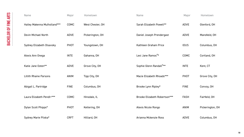| Name                          | Major       | Hometown         | Name                                | Major       | Hometown         |
|-------------------------------|-------------|------------------|-------------------------------------|-------------|------------------|
| Hailey Makenna Mulholland***  | <b>COMC</b> | West Chester, OH | Sarah Elizabeth Powell**            | <b>ADVE</b> | Glenford, OH     |
| Devin Michael North           | ADVE        | Pickerington, OH | Daniel Joseph Prendergast           | <b>ADVE</b> | Mansfield, OH    |
| Sydney Elizabeth Olsavsky     | <b>PHOT</b> | Youngstown, OH   | Kathleen Graham Price               | <b>IDUS</b> | Columbus, OH     |
| Alexis Ann Onega              | <b>INTE</b> | Gahanna, OH      | Lexi Jane Ramos <sup>8*</sup>       | <b>COMC</b> | Cortland, OH     |
| Katie Jane Ooten**            | ADVE        | Grove City, OH   | Sophie Glenn Randall <sup>0**</sup> | <b>INTE</b> | Kent, CT         |
| <b>Lillith Rhaine Parsons</b> | <b>ANIM</b> | Tipp City, OH    | Macie Elizabeth Rhoads***           | <b>PHOT</b> | Grove City, OH   |
| Abigail L. Partridge          | <b>FINE</b> | Columbus, OH     | Brooke Lynn Ripley*                 | <b>FINE</b> | Convoy, OH       |
| Laura Elizabeth Pendl+***     | <b>COMC</b> | Hinsdale, IL     | Brooke Elizabeth Robertson***       | <b>FASH</b> | Fairfield, OH    |
| Dylan Scott Phipps*           | <b>PHOT</b> | Kettering, OH    | Alexis Nicole Rongo                 | <b>ANIM</b> | Pickerington, OH |
| Sydney Marie Pliska*          | <b>CRFT</b> | Hilliard, OH     | Arianna Mckenzie Ross               | <b>ADVE</b> | Columbus, OH     |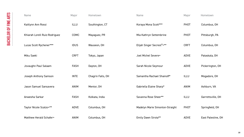| <b>Name</b>                   | Major       | Hometown          | <b>Name</b>                            | Major       | Hometown           |
|-------------------------------|-------------|-------------------|----------------------------------------|-------------|--------------------|
| Kaitlynn Ann Rossi            | <b>ILLU</b> | Southington, CT   | Koraya Mona Scott***                   | <b>PHOT</b> | Columbus, OH       |
| Khiarah Lorell Ruiz-Rodriguez | COMC        | Mayaguez, PR      | Mia Kathryn Settembrine                | <b>PHOT</b> | Pittsburgh, PA     |
| Lucas Scott Rychener***       | <b>IDUS</b> | Wauseon, OH       | Elijah Singer Secrest <sup>o</sup> +** | <b>CRFT</b> | Columbus, OH       |
| Miku Saeki                    | <b>CRFT</b> | Tokyo, Japan      | Joel Michel Severe+                    | <b>ADVE</b> | Pataskala, OH      |
| Jovaughn Paul Salaam          | <b>FASH</b> | Dayton, OH        | Sarah Nicole Seymour                   | <b>ADVE</b> | Pickerington, OH   |
| Joseph Anthony Samson         | <b>INTE</b> | Chagrin Falls, OH | Samantha Rachael Shainoff*             | <b>ILLU</b> | Mogadore, OH       |
| Jason Samuel Sansavera        | <b>ANIM</b> | Mentor, OH        | Gabriella Elaine Sharp*                | <b>ANIM</b> | Ashburn, VA        |
| Anwesha Sarkar                | <b>FASH</b> | Kolkata, India    | Savanna Rose Sheer**                   | <b>ILLU</b> | Garrettsville, OH  |
| Taylor Nicole Scalzo+**       | <b>ADVE</b> | Columbus, OH      | Madelyn Marie Simonton-Straight        | <b>PHOT</b> | Springfield, OH    |
| Matthew Herald Schafer+       | ANIM        | Columbus, OH      | <b>Emily Dawn Sirota**</b>             | ADVE        | East Palestine, OH |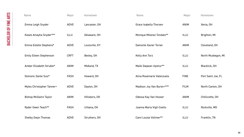| Name                           | Major       | Hometown       | Name                       | Major       | Hometown           |
|--------------------------------|-------------|----------------|----------------------------|-------------|--------------------|
| Emma Leigh Snyder              | ADVE        | Lancaster, OH  | Grace Isabella Thorsen     | <b>ANIM</b> | Xenia, OH          |
| Kasee Amayha Snyder***         | <b>ILLU</b> | Delaware, OH   | Monique Milanez Tondato**  | <b>ILLU</b> | Brighton, MI       |
| Emma Estelle Stephens*         | ADVE        | Louisville, KY | Damonte Xavier Torian      | <b>ANIM</b> | Cleveland, OH      |
| <b>Emily Eileen Stephenson</b> | <b>CRFT</b> | Bexley, OH     | Kelly Ann Torz             | ILLU        | North Muskegon, MI |
| Amber Elizabeth Struble*       | <b>ANIM</b> | Midland, TX    | Malik Daqwan Upshur**      | <b>ILLU</b> | Blacklick, OH      |
| Domonic Dante Susi*            | <b>FASH</b> | Howard, OH     | Alina Rosemarie Valenzuela | <b>FINE</b> | Port Saint Joe, FL |
| Myles Christopher Tanner+      | ADVE        | Dayton, OH     | Madison Joy Van Buren+***  | <b>FILM</b> | North Canton, OH   |
| <b>Bishop McGwire Taylor</b>   | <b>ANIM</b> | Hillsboro, OH  | Odessa Kay Van Hooser      | <b>ANIM</b> | Chillicothe, OH    |
| Ryder Owen Teach**             | <b>FASH</b> | Urbana, OH     | Joanna Maria Vigil-Coello  | <b>ILLU</b> | Rockville, MD      |
| <b>Shelby Gwyn Thomas</b>      | ADVE        | Struthers, OH  | Cami Louise Vollmer**      | <b>ILLU</b> | Franklin, TN       |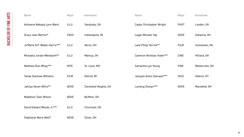| Name                           | Major       | Hometown              | <b>Name</b>               | Major       | Hometown        |
|--------------------------------|-------------|-----------------------|---------------------------|-------------|-----------------|
| Ashieana Nakayla Lynn Ward     | ILLU        | Sandusky, OH          | Cadyn Christopher Wright  | <b>PHOT</b> | London, OH      |
| Grace Jean Warren*             | <b>FASH</b> | Indianapolis, IN      | Logan Michael Yap         | <b>ADVE</b> | Gahanna, OH     |
| Je'Marie R.P. Weber-Harris***  | <b>ILLU</b> | Akron, OH             | Lane Philip Yerrick**     | <b>FILM</b> | Uniontown, OH   |
| Michaela Jordan Weisbarth**    | <b>ILLU</b> | Mantua, OH            | Cameron Nicholas Yoder*** | <b>CINE</b> | Hilliard, OH    |
| Matthew Elan Whay***           | <b>INTE</b> | St. Louis, MO         | Samantha Lyn Young        | <b>FINE</b> | Westerville, OH |
| <b>Yanae Staresse Williams</b> | <b>FILM</b> | Detroit, MI           | Jacques Anton Zeevaart*** | <b>IDUS</b> | Hebron, KY      |
| Jahliya Seven Willis**         | ADVE        | Cleveland Heights, OH | Lumeng Zhong+***          | <b>ADVE</b> | Mansfield, OH   |
| <b>Maddison Tyler Wilson</b>   | ADVE        | Bluffton, OH          |                           |             |                 |
| David Edward Woods Jr.***      | <b>ILLU</b> | Cincinnati, OH        |                           |             |                 |
| Stephanie Marie Wott*          | ADVE        | Dover, OH             |                           |             |                 |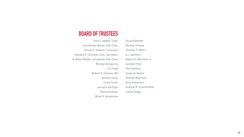## **BOARD OF TRUSTEES**

| John C. Beeler, Chair                 | Doug Klamfoth          |
|---------------------------------------|------------------------|
| Jeni Britton Bauer, Vice Chair        | <b>Michael Krouse</b>  |
| Steven E. English, Treasurer          | Timothy T. Miller      |
| Saundra K. Schuster, Esq., Secretary  | A.J. Montero           |
| R. Blane Walter, Immediate Past Chair | Robert E. Morrison Jr. |
| Michael Bongiorno                     | Jennifer Pick          |
| <b>Gil Cloyd</b>                      | <b>Tom Ramsey</b>      |
| Robert E. Falcone, MD                 | Susan D. Rector        |
| <b>William Faust</b>                  | Tanisha Robinson       |
| Corey Favor                           | <b>Amy Stevenson</b>   |
| <b>Leonard Hartman</b>                | Andrew R. Summerfield  |
| <b>Brett Kaufman</b>                  | Jonna Twigg            |
| Brian P. Kinzelman                    |                        |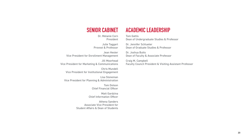### **SENIOR CABINET**

Dr. Melanie Corn President

Julie Taggart Provost & Professor

Jean Hester Vice President for Enrollment Management

Jill Moorhead Vice President for Marketing & Communications

Chris Mundell Vice President for Institutional Engagement

Lisa Stoneman Vice President for Planning & Administration

> Tom Dotson Chief Financial Officer

Matt Gardzina Chief Information Officer

Athena Sanders Associate Vice President for Student Affairs & Dean of Students

### **ACADEMIC LEADERSHIP**

Tom Gattis Dean of Undergraduate Studies & Professor

Dr. Jennifer Schlueter Dean of Graduate Studies & Professor

Dr. Joshua Butts Dean of Faculty & Associate Professor

Craig M. Campbell Faculty Council President & Visiting Assistant Professor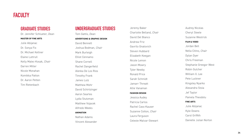### **GRADUATE STUDIES**

Dr. Jennifer Schlueter, *Dean* **MASTER OF FINE ARTS** Julie Abijanac Dr. Sonya Fix Dr. Michael Kellner Elaine Luttrull Kelly Malec-Kosak, *Chair* Darren Miller Nicole Monahan Komikka Patton Dr. Aaron Petten Tim Rietenbach

Jeremy Baker Charlotte Belland, *Chair* David Del Bianco Andrew Friz Gavrilo Gnatovich Steven Hubbard Elizabeth Keegan Nicole Lemon Jason Mowry Tyler Newby Ronald Price Sarah Schmidt Jamarr Threatt Allie Vanaman **FASHION DESIGN** Jessica Audey Patricia Carlos Rachel Cass-Kauser Suzanne Cotton, *Chair*  Laura Ferguson Celeste Malvar-Stewart

Audrey Nicolas Cheryl Steele Suzanne Westrick **FILM & VIDEO** Jordan Bell Nella Citino, *Chair* Dylan Dyer Chris Freeman Stephanie Greegor West Robin Gulcher William X. Lee Pete Luckner Kingsley Nyarko Alexandra Stoia Jef Taylor Pamela Theodotu **FINE ARTS** Julie Abijanac Kyle Downs Carol Griffith Danielle Julian Norton

### **FACULTY**

### **UNDERGRADUATE STUDIES**

Tom Gattis, *Dean* **ADVERTISING & GRAPHIC DESIGN** David Bennett Joshua Bodman, *Chair* Mark Burleigh Elliot Cennamo Shane Cornell Rachel Dangerfield Alenka De Los Rios Timothy Frank James Lutz Matthew Mohr David Schirtzinger Aaron Searles Lydia Stutzman Matthew Vojacek Alfredo Weeks **ANIMATION** Nathan Adams Vincent Alexander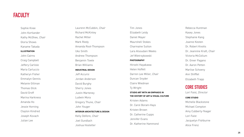Tim Jones Elizabeth Leidy Daniel Mayer Maurshell Stokes Charmaine Sutton Lara Alsoudani Weeks Jef Wietrzykowski **PHOTOGRAPHY** Hiroshi Hayakawa Helen Hoffelt Darren Lee Miller, *Chair* Duncan Snyder Claire Wiedman Ty Wright **STUDIO ART WITH AN EMPHASIS I N THE HISTORY OF ART & VISUAL CULTURE** Kristen Adams Dr. Carol Boram-Hays Kristen Brown Dr. Catherine Cupps

Jennifer Evans Dr. Katherine Hammond

Rebecca Huntman Kasey Jones Stephanie Kang Joanne Kesten Dr. Robert Knotts Dr. Jeannine Kraft, *Chair* Victoria McCollum Dr. Greer Pagano Dr. Aaron Petten Marlise Schoeny Ann Shifflet Elizabeth Trapp

### **CORE STUDIES**

Lori Faist, *Director*  **CORE STUDIO** Michelle Blackstone Michael Compton Amy Cubberly-Yeager Lori Faist Jacquelyn Fishburne Alice Frenz

### **FACULTY**

Laurenn McCubbin, *Chair* Richard McKinley Rachel Miller Mark Riedy Amanda Root-Thompson Uko Smith Andrew Thompson Benjamin Towle Brian Williams **INDUSTRIAL DESIGN** Jeff Accursi Jordan Anderson David Burghy Sherry Jones Justin Marteney Ludwin Mora Gregory Thune, *Chair* John Youger **INTERIOR ARCHITECTURE & DESIGN** Kelly DeVore, *Chair* Joel Gundlach Joshua Hostetler

Sophie Knee John Kortlander Kathy McGhee, *Chair* Gloria Shows Kaname Takada **ILLUSTRATION** John Cairns Craig Campbell Jeffery Carlisle Maria Carluccio Katheryn Fisher Emmalyn Gennis Melanie Gillman Thomas Glick David Groff Marina Harkness Amanda Ho Jessie Horning Clayton Kindred Joseph Kovach Julian Lee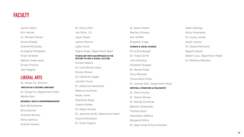Dr. Aaron Petten Marlise Schoeny Ann Shifflet Elizabeth Trapp **SCIENCE & SOCIAL SCIENCE** Erica Brumbaugh Dr. Tessa Carrel John Donahue Elizabeth Douglas Dr. Nemat Khalil Terry Monnett Teresa Neill-Green Dr. Jeremy Stoll, *Department Head* **WRITING, LITERATURE & PHILOSOPHY** Dr. Sierra Austin Dr. Steven Brown Dr. Wendy Chrisman Babette Cieskowski Thomas Davis Gwendolyn DeRosa Margaret DiVito Dr. Ayse Irmak Ertuna Howison

Adam Gellings Emily Greenberg Dr. Lesley Jenike Sarah Justice Dr. Sophia Kartsonis Negesti Kaudo Robert Loss, *Department Head* Dr. Matthew Mitchem

### **FACULTY**

Dr. Henry Park

Jon Politi, J.D. Jason Rawls James Sharvin Lydia Simon Sapna Singh, *Department Head*

### **STUDIO ART WITH AN EMPHASIS IN THE HISTORY OF ART & VISUAL CULTURE**

Kristen Adams Dr. Carol Boram-Hays Kristen Brown Dr. Catherine Cupps Jennifer Evans Dr. Katherine Hammond Rebecca Huntman Kasey Jones Stephanie Kang Joanne Kesten Dr. Robert Knotts Dr. Jeannine Kraft, *Department Head* Victoria McCollum Dr. Greer Pagano

Quintin Gleim Eric Homan Dr. Michael Kellner Emma Kindall Andrew McCauley Evangelia Philippidis Grace Strattan Nathan Underwood Ernest Viveiros Sam Wagner

### **LIBERAL ARTS**

Dr. Sonya Fix, *Director*  **ENGLISH AS A SECOND LANGUAGE** Dr. Sonya Fix, *Department Head* Mariko Kain **BUSINESS, MATH & ENTREPRENEURSHIP** Beth Bollenbacher Brice Bunner Suzanne Bureau Elena Gamova Andrew Havens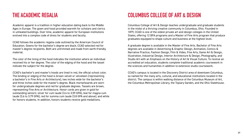## **THE ACADEMIC REGALIA COLUMBUS COLLEGE OF ART & DESIGN**

Academic apparel is a tradition in higher education dating back to the Middle Ages in Europe. The gown and hood provided warmth for scholars and clerics in unheated buildings. Over time, academic apparel for European institutions evolved into a complex code of dress for students and faculty.

CCAD follows the academic regalia code outlined by the American Council of Education. Gowns for the bachelor's degree are black; CCAD selected red for master's degree recipients. Both are untrimmed and made from earth-friendly material.

The color of the lining of the hood indicates the institution where an individual received his or her degree. The color of the edging of the hood and the tassel indicate the subject for the degree.

CCAD's bachelor's and master's hoods are lined in red, the official school color. The binding or edging of the hood is brown velvet or velveteen (representing a bachelor's in Fine Arts or Architecture), two inches wide for the bachelor's and three inches wide for the master's degree. Black mortarboards are worn for undergraduate degrees and red for graduate degrees. Tassels are brown, representing Fine Arts or Architecture. Honor cords are given in gold for outstanding seniors: silver for cum laude (3.4 to 3.59 GPA), teal for magna cum laude (3.6 to 3.79 GPA), red for summa cum laude (3.8 GPA and above), and white for honors students. In addition, honors students receive gold medallions.

Columbus College of Art & Design teaches undergraduate and graduate students in the midst of a thriving creative community in Columbus, Ohio. Founded in 1879, CCAD is one of the oldest private art and design colleges in the United States, offering 12 BFA programs and a Master of Fine Arts program that produce graduates equipped to shape culture and business at the highest level.

A graduate degree is available in the Master of Fine Arts. Bachelor of Fine Arts degrees are available in Advertising & Graphic Design, Animation, Comics & Narrative Practice, Fashion Design, Film & Video, Fine Arts, Game Art & Design, Illustration, Industrial Design, Interior Architecture & Design, Photography, and Studio Art with an Emphasis on the History of Art & Visual Culture. To receive an accredited art education, students complete traditional academic coursework in the sciences and humanities in addition to extensive studio coursework.

CCAD's campus is located in the Discovery District area of downtown Columbus, so named for the many arts, cultural, and educational institutions located in the district. The campus is within walking distance of the Columbus Museum of Art, the Columbus Metropolitan Library, the Topiary Garden, and the Ohio Statehouse.